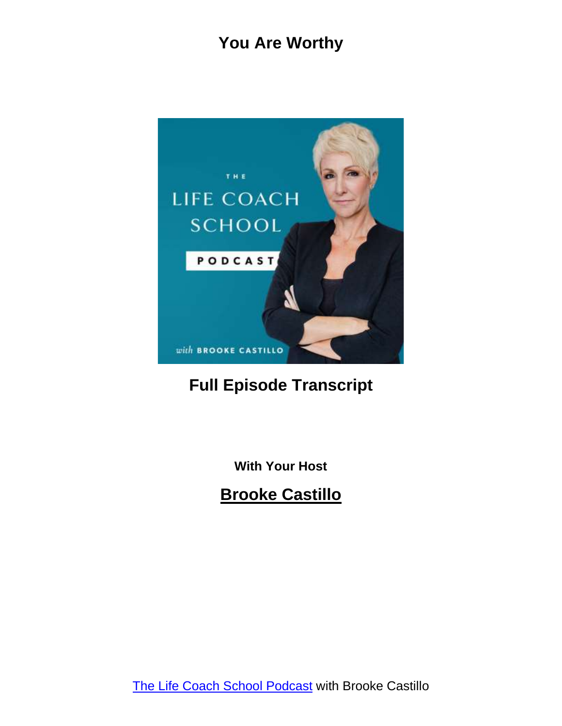

#### **Full Episode Transcript**

**With Your Host**

**Brooke Castillo**

The Life Coach School [Podcast](http://www.thelifecoachschool.com/) with Brooke Castillo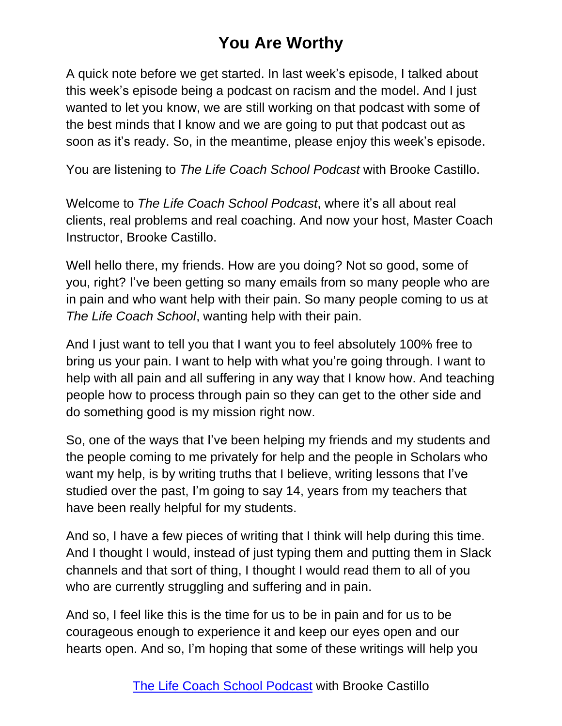A quick note before we get started. In last week's episode, I talked about this week's episode being a podcast on racism and the model. And I just wanted to let you know, we are still working on that podcast with some of the best minds that I know and we are going to put that podcast out as soon as it's ready. So, in the meantime, please enjoy this week's episode.

You are listening to *The Life Coach School Podcast* with Brooke Castillo.

Welcome to *The Life Coach School Podcast*, where it's all about real clients, real problems and real coaching. And now your host, Master Coach Instructor, Brooke Castillo.

Well hello there, my friends. How are you doing? Not so good, some of you, right? I've been getting so many emails from so many people who are in pain and who want help with their pain. So many people coming to us at *The Life Coach School*, wanting help with their pain.

And I just want to tell you that I want you to feel absolutely 100% free to bring us your pain. I want to help with what you're going through. I want to help with all pain and all suffering in any way that I know how. And teaching people how to process through pain so they can get to the other side and do something good is my mission right now.

So, one of the ways that I've been helping my friends and my students and the people coming to me privately for help and the people in Scholars who want my help, is by writing truths that I believe, writing lessons that I've studied over the past, I'm going to say 14, years from my teachers that have been really helpful for my students.

And so, I have a few pieces of writing that I think will help during this time. And I thought I would, instead of just typing them and putting them in Slack channels and that sort of thing, I thought I would read them to all of you who are currently struggling and suffering and in pain.

And so, I feel like this is the time for us to be in pain and for us to be courageous enough to experience it and keep our eyes open and our hearts open. And so, I'm hoping that some of these writings will help you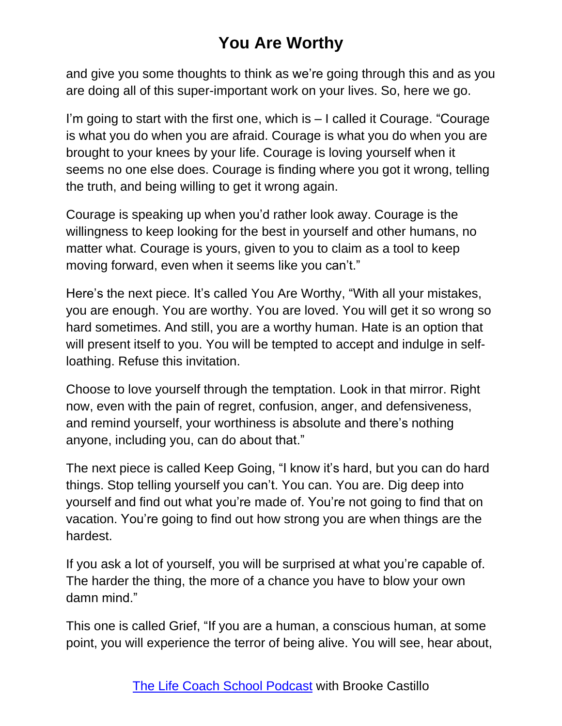and give you some thoughts to think as we're going through this and as you are doing all of this super-important work on your lives. So, here we go.

I'm going to start with the first one, which is – I called it Courage. "Courage is what you do when you are afraid. Courage is what you do when you are brought to your knees by your life. Courage is loving yourself when it seems no one else does. Courage is finding where you got it wrong, telling the truth, and being willing to get it wrong again.

Courage is speaking up when you'd rather look away. Courage is the willingness to keep looking for the best in yourself and other humans, no matter what. Courage is yours, given to you to claim as a tool to keep moving forward, even when it seems like you can't."

Here's the next piece. It's called You Are Worthy, "With all your mistakes, you are enough. You are worthy. You are loved. You will get it so wrong so hard sometimes. And still, you are a worthy human. Hate is an option that will present itself to you. You will be tempted to accept and indulge in selfloathing. Refuse this invitation.

Choose to love yourself through the temptation. Look in that mirror. Right now, even with the pain of regret, confusion, anger, and defensiveness, and remind yourself, your worthiness is absolute and there's nothing anyone, including you, can do about that."

The next piece is called Keep Going, "I know it's hard, but you can do hard things. Stop telling yourself you can't. You can. You are. Dig deep into yourself and find out what you're made of. You're not going to find that on vacation. You're going to find out how strong you are when things are the hardest.

If you ask a lot of yourself, you will be surprised at what you're capable of. The harder the thing, the more of a chance you have to blow your own damn mind."

This one is called Grief, "If you are a human, a conscious human, at some point, you will experience the terror of being alive. You will see, hear about,